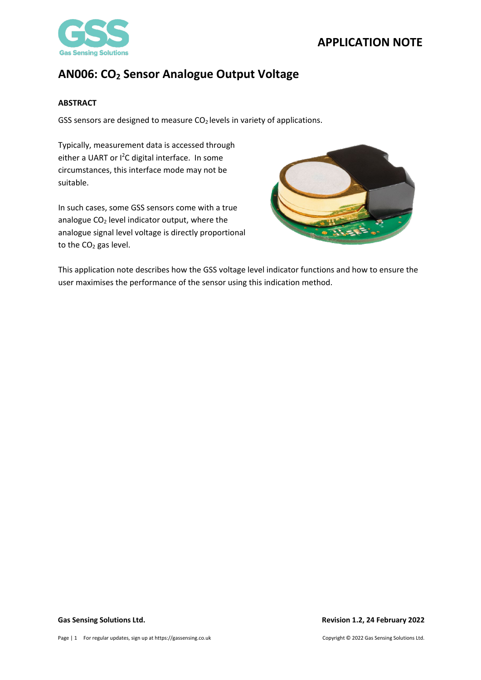



### <span id="page-0-0"></span>**ABSTRACT**

GSS sensors are designed to measure  $CO<sub>2</sub>$  levels in variety of applications.

Typically, measurement data is accessed through either a UART or I<sup>2</sup>C digital interface. In some circumstances, this interface mode may not be suitable.

In such cases, some GSS sensors come with a true analogue CO<sub>2</sub> level indicator output, where the analogue signal level voltage is directly proportional to the CO<sub>2</sub> gas level.



This application note describes how the GSS voltage level indicator functions and how to ensure the user maximises the performance of the sensor using this indication method.

### **Gas Sensing Solutions Ltd. Revision 1.2, 24 February 2022**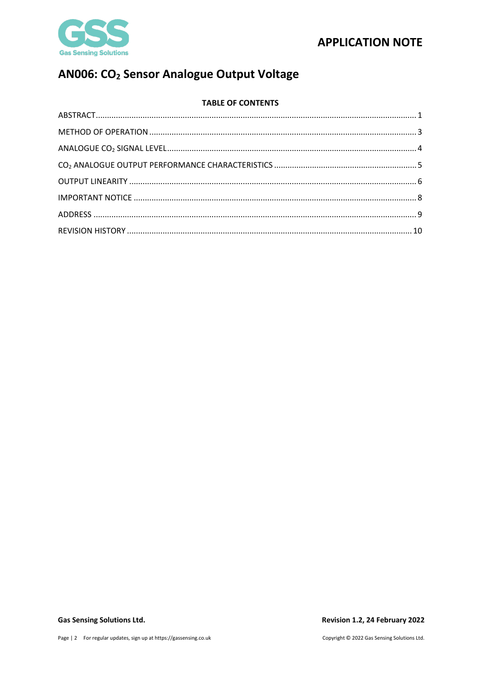



# AN006: CO<sub>2</sub> Sensor Analogue Output Voltage

### **TABLE OF CONTENTS**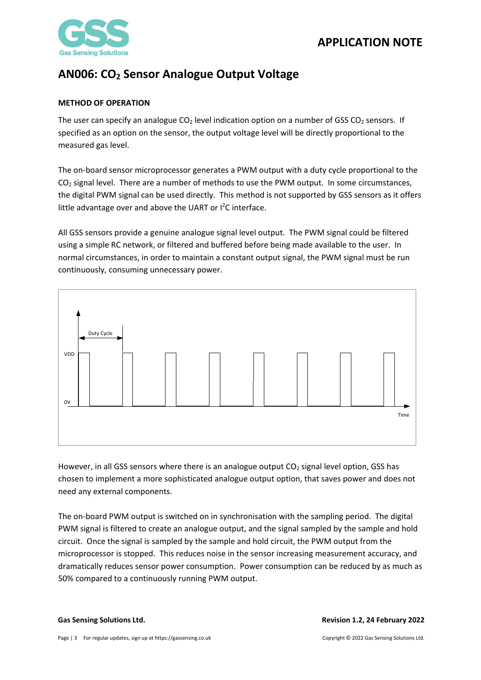

### <span id="page-2-0"></span>**METHOD OF OPERATION**

The user can specify an analogue  $CO<sub>2</sub>$  level indication option on a number of GSS  $CO<sub>2</sub>$  sensors. If specified as an option on the sensor, the output voltage level will be directly proportional to the measured gas level.

The on-board sensor microprocessor generates a PWM output with a duty cycle proportional to the  $CO<sub>2</sub>$  signal level. There are a number of methods to use the PWM output. In some circumstances, the digital PWM signal can be used directly. This method is not supported by GSS sensors as it offers little advantage over and above the UART or  $l^2C$  interface.

All GSS sensors provide a genuine analogue signal level output. The PWM signal could be filtered using a simple RC network, or filtered and buffered before being made available to the user. In normal circumstances, in order to maintain a constant output signal, the PWM signal must be run continuously, consuming unnecessary power.



However, in all GSS sensors where there is an analogue output  $CO<sub>2</sub>$  signal level option, GSS has chosen to implement a more sophisticated analogue output option, that saves power and does not need any external components.

The on-board PWM output is switched on in synchronisation with the sampling period. The digital PWM signal is filtered to create an analogue output, and the signal sampled by the sample and hold circuit. Once the signal is sampled by the sample and hold circuit, the PWM output from the microprocessor is stopped. This reduces noise in the sensor increasing measurement accuracy, and dramatically reduces sensor power consumption. Power consumption can be reduced by as much as 50% compared to a continuously running PWM output.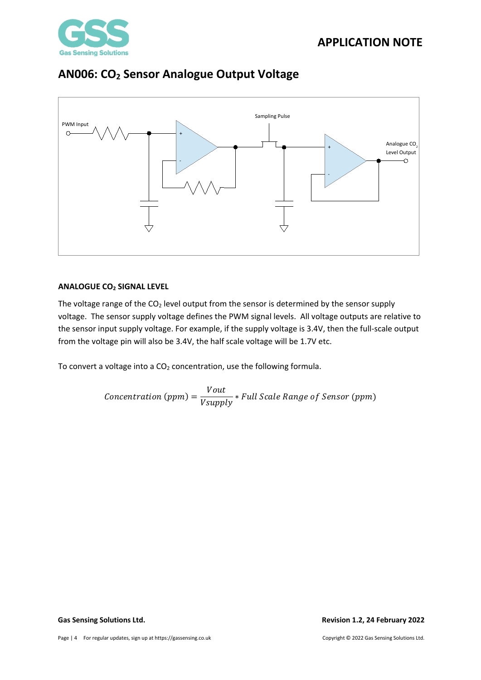





### <span id="page-3-0"></span>**ANALOGUE CO2 SIGNAL LEVEL**

The voltage range of the  $CO<sub>2</sub>$  level output from the sensor is determined by the sensor supply voltage. The sensor supply voltage defines the PWM signal levels. All voltage outputs are relative to the sensor input supply voltage. For example, if the supply voltage is 3.4V, then the full-scale output from the voltage pin will also be 3.4V, the half scale voltage will be 1.7V etc.

To convert a voltage into a  $CO<sub>2</sub>$  concentration, use the following formula.

$$
Concentration (ppm) = \frac{Vout}{Vsupply} * Full Scale Range of Sensor (ppm)
$$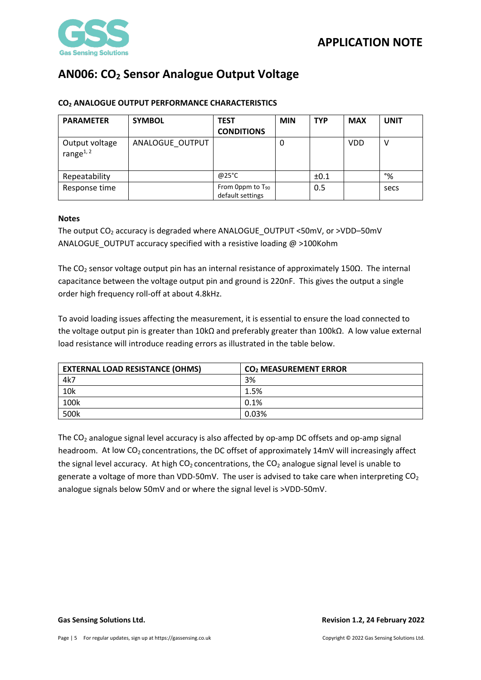

| <b>PARAMETER</b>               | <b>SYMBOL</b>   | <b>TEST</b><br><b>CONDITIONS</b>          | <b>MIN</b> | <b>TYP</b> | <b>MAX</b> | <b>UNIT</b> |
|--------------------------------|-----------------|-------------------------------------------|------------|------------|------------|-------------|
| Output voltage<br>range $1, 2$ | ANALOGUE_OUTPUT |                                           | 0          |            | <b>VDD</b> |             |
| Repeatability                  |                 | @25°C                                     |            | ±0.1       |            | $\%$        |
| Response time                  |                 | From 0ppm to $T_{90}$<br>default settings |            | 0.5        |            | secs        |

### <span id="page-4-0"></span>**CO2 ANALOGUE OUTPUT PERFORMANCE CHARACTERISTICS**

### **Notes**

The output CO<sub>2</sub> accuracy is degraded where ANALOGUE\_OUTPUT <50mV, or >VDD-50mV ANALOGUE\_OUTPUT accuracy specified with a resistive loading @ >100Kohm

The CO<sub>2</sub> sensor voltage output pin has an internal resistance of approximately 150Ω. The internal capacitance between the voltage output pin and ground is 220nF. This gives the output a single order high frequency roll-off at about 4.8kHz.

To avoid loading issues affecting the measurement, it is essential to ensure the load connected to the voltage output pin is greater than 10kΩ and preferably greater than 100kΩ. A low value external load resistance will introduce reading errors as illustrated in the table below.

| <b>EXTERNAL LOAD RESISTANCE (OHMS)</b> | CO <sub>2</sub> MEASUREMENT ERROR |  |  |
|----------------------------------------|-----------------------------------|--|--|
| 4k7                                    | 3%                                |  |  |
| 10k                                    | 1.5%                              |  |  |
| 100k                                   | 0.1%                              |  |  |
| 500k                                   | 0.03%                             |  |  |

The  $CO<sub>2</sub>$  analogue signal level accuracy is also affected by op-amp DC offsets and op-amp signal headroom. At low  $CO<sub>2</sub>$  concentrations, the DC offset of approximately 14mV will increasingly affect the signal level accuracy. At high  $CO<sub>2</sub>$  concentrations, the  $CO<sub>2</sub>$  analogue signal level is unable to generate a voltage of more than VDD-50mV. The user is advised to take care when interpreting  $CO<sub>2</sub>$ analogue signals below 50mV and or where the signal level is >VDD-50mV.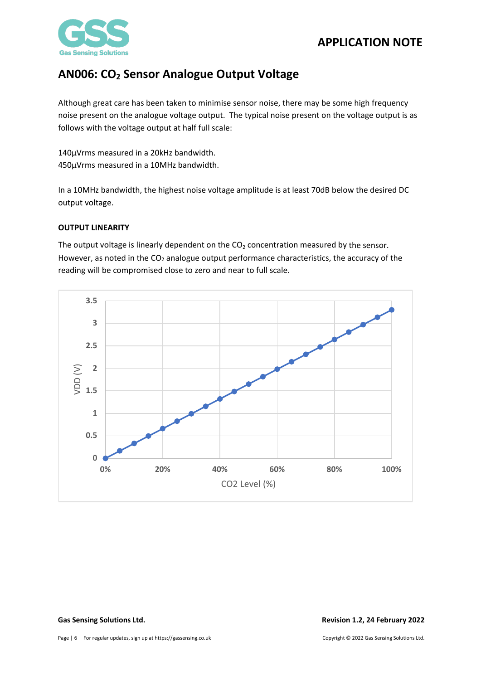

Although great care has been taken to minimise sensor noise, there may be some high frequency noise present on the analogue voltage output. The typical noise present on the voltage output is as follows with the voltage output at half full scale:

140µVrms measured in a 20kHz bandwidth. 450µVrms measured in a 10MHz bandwidth.

In a 10MHz bandwidth, the highest noise voltage amplitude is at least 70dB below the desired DC output voltage.

### <span id="page-5-0"></span>**OUTPUT LINEARITY**

The output voltage is linearly dependent on the  $CO<sub>2</sub>$  concentration measured by the sensor. However, as noted in the  $CO<sub>2</sub>$  analogue output performance characteristics, the accuracy of the reading will be compromised close to zero and near to full scale.

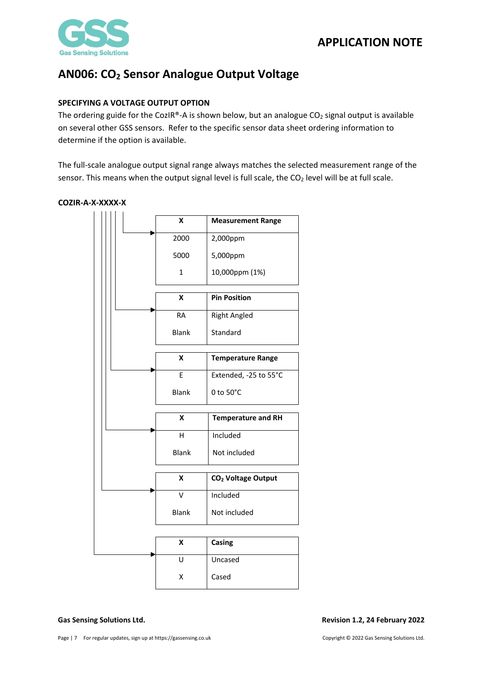

### **SPECIFYING A VOLTAGE OUTPUT OPTION**

The ordering guide for the CozIR®-A is shown below, but an analogue  $CO<sub>2</sub>$  signal output is available on several other GSS sensors. Refer to the specific sensor data sheet ordering information to determine if the option is available.

The full-scale analogue output signal range always matches the selected measurement range of the sensor. This means when the output signal level is full scale, the CO<sub>2</sub> level will be at full scale.

### **COZIR-A-X-XXXX-X**

|  |  |  | X                         | <b>Measurement Range</b>       |
|--|--|--|---------------------------|--------------------------------|
|  |  |  | 2000                      | 2,000ppm                       |
|  |  |  | 5000                      | 5,000ppm                       |
|  |  |  | $\mathbf{1}$              | 10,000ppm (1%)                 |
|  |  |  | X                         | <b>Pin Position</b>            |
|  |  |  |                           |                                |
|  |  |  | <b>RA</b>                 | <b>Right Angled</b>            |
|  |  |  | <b>Blank</b>              | Standard                       |
|  |  |  | X                         | <b>Temperature Range</b>       |
|  |  |  | E                         | Extended, -25 to 55°C          |
|  |  |  |                           |                                |
|  |  |  | 0 to 50°C<br><b>Blank</b> |                                |
|  |  |  |                           |                                |
|  |  |  | x                         |                                |
|  |  |  |                           | <b>Temperature and RH</b>      |
|  |  |  | H                         | Included                       |
|  |  |  | <b>Blank</b>              | Not included                   |
|  |  |  |                           |                                |
|  |  |  | X                         | CO <sub>2</sub> Voltage Output |
|  |  |  | $\vee$                    | Included                       |
|  |  |  | <b>Blank</b>              | Not included                   |
|  |  |  |                           |                                |
|  |  |  | X                         | Casing                         |
|  |  |  | U                         | Uncased                        |
|  |  |  | Χ                         | Cased                          |

### **Gas Sensing Solutions Ltd. Revision 1.2, 24 February 2022**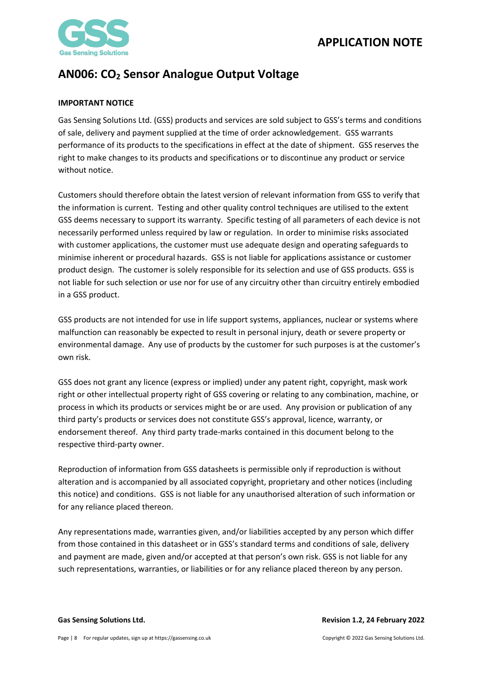

### <span id="page-7-0"></span>**IMPORTANT NOTICE**

Gas Sensing Solutions Ltd. (GSS) products and services are sold subject to GSS's terms and conditions of sale, delivery and payment supplied at the time of order acknowledgement. GSS warrants performance of its products to the specifications in effect at the date of shipment. GSS reserves the right to make changes to its products and specifications or to discontinue any product or service without notice.

Customers should therefore obtain the latest version of relevant information from GSS to verify that the information is current. Testing and other quality control techniques are utilised to the extent GSS deems necessary to support its warranty. Specific testing of all parameters of each device is not necessarily performed unless required by law or regulation. In order to minimise risks associated with customer applications, the customer must use adequate design and operating safeguards to minimise inherent or procedural hazards. GSS is not liable for applications assistance or customer product design. The customer is solely responsible for its selection and use of GSS products. GSS is not liable for such selection or use nor for use of any circuitry other than circuitry entirely embodied in a GSS product.

GSS products are not intended for use in life support systems, appliances, nuclear or systems where malfunction can reasonably be expected to result in personal injury, death or severe property or environmental damage. Any use of products by the customer for such purposes is at the customer's own risk.

GSS does not grant any licence (express or implied) under any patent right, copyright, mask work right or other intellectual property right of GSS covering or relating to any combination, machine, or process in which its products or services might be or are used. Any provision or publication of any third party's products or services does not constitute GSS's approval, licence, warranty, or endorsement thereof. Any third party trade-marks contained in this document belong to the respective third-party owner.

Reproduction of information from GSS datasheets is permissible only if reproduction is without alteration and is accompanied by all associated copyright, proprietary and other notices (including this notice) and conditions. GSS is not liable for any unauthorised alteration of such information or for any reliance placed thereon.

Any representations made, warranties given, and/or liabilities accepted by any person which differ from those contained in this datasheet or in GSS's standard terms and conditions of sale, delivery and payment are made, given and/or accepted at that person's own risk. GSS is not liable for any such representations, warranties, or liabilities or for any reliance placed thereon by any person.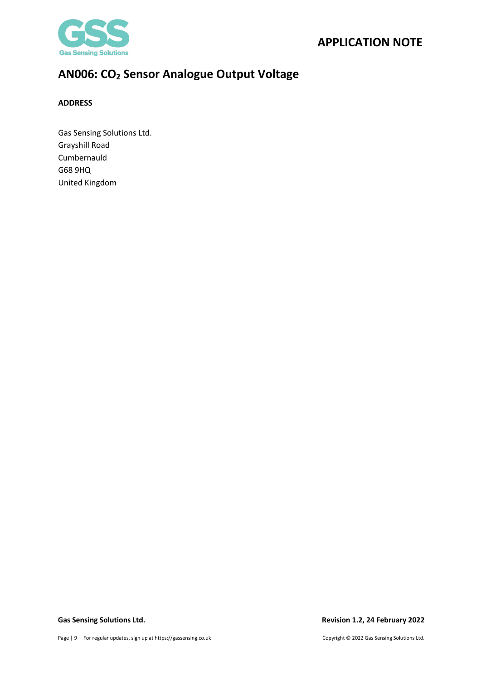

### <span id="page-8-0"></span>**ADDRESS**

Gas Sensing Solutions Ltd. Grayshill Road Cumbernauld G68 9HQ United Kingdom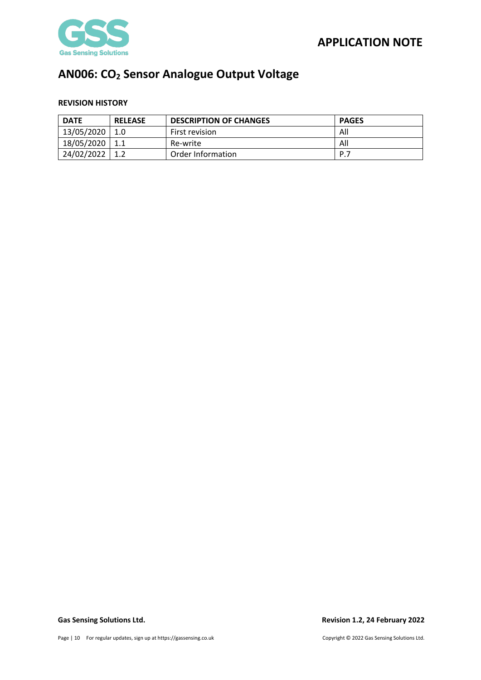

### <span id="page-9-0"></span>**REVISION HISTORY**

| <b>DATE</b> | <b>RELEASE</b> | <b>DESCRIPTION OF CHANGES</b> | <b>PAGES</b> |
|-------------|----------------|-------------------------------|--------------|
| 13/05/2020  | 1.0            | First revision                | All          |
| 18/05/2020  |                | Re-write                      | All          |
| 24/02/2022  |                | Order Information             | P.7          |